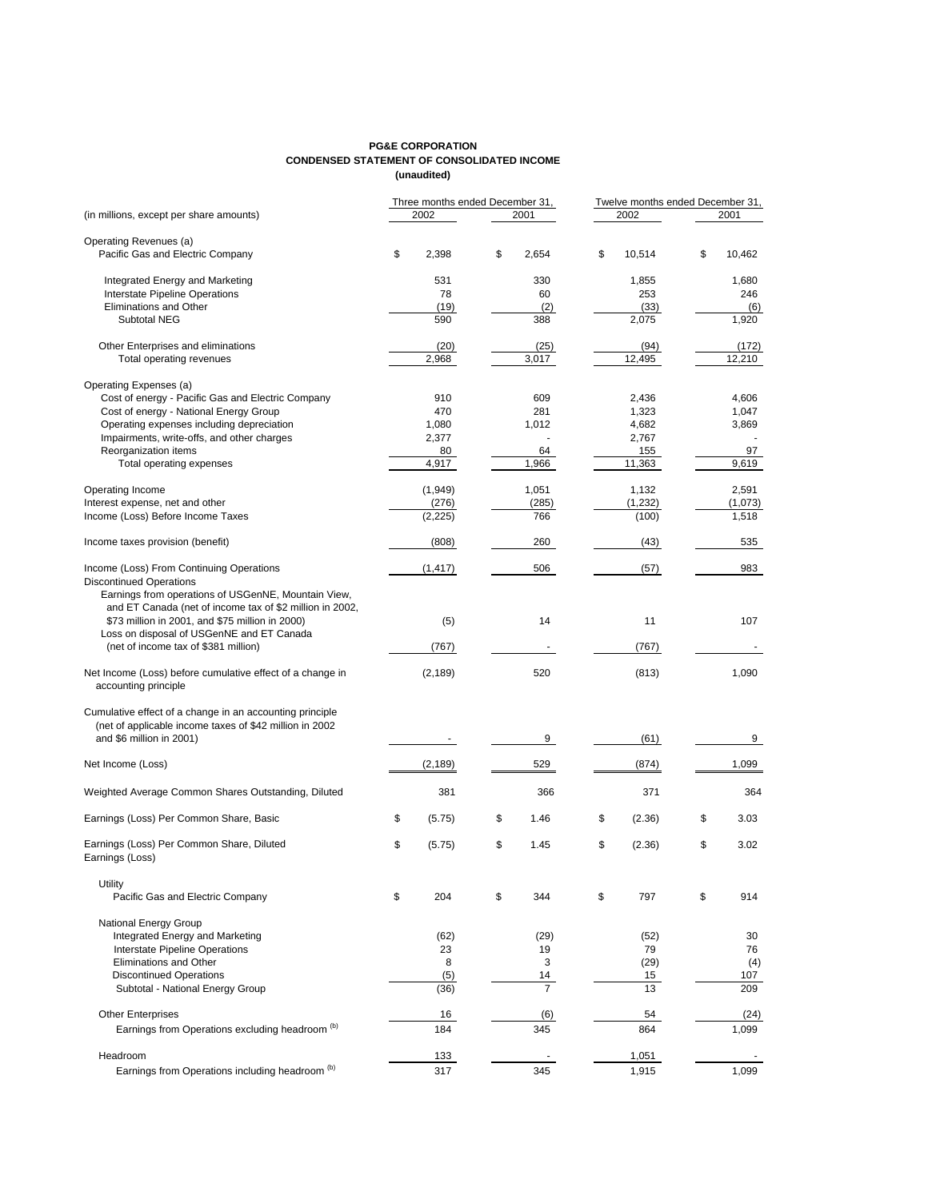## **PG&E CORPORATION CONDENSED STATEMENT OF CONSOLIDATED INCOME (unaudited)**

|                                                                                              |    | Three months ended December 31, |    |                |    | Twelve months ended December 31, |    |         |  |
|----------------------------------------------------------------------------------------------|----|---------------------------------|----|----------------|----|----------------------------------|----|---------|--|
| (in millions, except per share amounts)                                                      |    | 2002                            |    | 2001           |    | 2002                             |    | 2001    |  |
| Operating Revenues (a)                                                                       |    |                                 |    |                |    |                                  |    |         |  |
| Pacific Gas and Electric Company                                                             | \$ | 2,398                           | \$ | 2,654          | \$ | 10,514                           | \$ | 10,462  |  |
| Integrated Energy and Marketing                                                              |    | 531                             |    | 330            |    | 1,855                            |    | 1,680   |  |
| <b>Interstate Pipeline Operations</b>                                                        |    | 78                              |    | 60             |    | 253                              |    | 246     |  |
| Eliminations and Other                                                                       |    | (19)                            |    | (2)            |    | (33)                             |    | (6)     |  |
| Subtotal NEG                                                                                 |    | 590                             |    | 388            |    | 2,075                            |    | 1,920   |  |
| Other Enterprises and eliminations                                                           |    | (20)                            |    | (25)           |    | (94)                             |    | (172)   |  |
| Total operating revenues                                                                     |    | 2,968                           |    | 3,017          |    | 12,495                           |    | 12,210  |  |
| Operating Expenses (a)                                                                       |    |                                 |    |                |    |                                  |    |         |  |
| Cost of energy - Pacific Gas and Electric Company                                            |    | 910                             |    | 609            |    | 2,436                            |    | 4,606   |  |
| Cost of energy - National Energy Group                                                       |    | 470                             |    | 281            |    | 1,323                            |    | 1,047   |  |
| Operating expenses including depreciation                                                    |    | 1,080                           |    | 1,012          |    | 4,682                            |    | 3,869   |  |
| Impairments, write-offs, and other charges                                                   |    | 2,377                           |    |                |    | 2,767                            |    |         |  |
| Reorganization items                                                                         |    | 80                              |    | 64             |    | 155                              |    | 97      |  |
| Total operating expenses                                                                     |    | 4,917                           |    | 1,966          |    | 11,363                           |    | 9,619   |  |
| Operating Income                                                                             |    | (1,949)                         |    | 1,051          |    | 1,132                            |    | 2,591   |  |
| Interest expense, net and other                                                              |    | (276)                           |    | (285)          |    | (1, 232)                         |    | (1,073) |  |
| Income (Loss) Before Income Taxes                                                            |    | (2, 225)                        |    | 766            |    | (100)                            |    | 1,518   |  |
|                                                                                              |    |                                 |    |                |    |                                  |    |         |  |
| Income taxes provision (benefit)                                                             |    | (808)                           |    | 260            |    | (43)                             |    | 535     |  |
| Income (Loss) From Continuing Operations                                                     |    | (1, 417)                        |    | 506            |    | (57)                             |    | 983     |  |
| <b>Discontinued Operations</b>                                                               |    |                                 |    |                |    |                                  |    |         |  |
| Earnings from operations of USGenNE, Mountain View,                                          |    |                                 |    |                |    |                                  |    |         |  |
| and ET Canada (net of income tax of \$2 million in 2002,                                     |    |                                 |    |                |    |                                  |    |         |  |
| \$73 million in 2001, and \$75 million in 2000)<br>Loss on disposal of USGenNE and ET Canada |    | (5)                             |    | 14             |    | 11                               |    | 107     |  |
| (net of income tax of \$381 million)                                                         |    | (767)                           |    |                |    | (767)                            |    |         |  |
|                                                                                              |    |                                 |    |                |    |                                  |    |         |  |
| Net Income (Loss) before cumulative effect of a change in<br>accounting principle            |    | (2, 189)                        |    | 520            |    | (813)                            |    | 1,090   |  |
| Cumulative effect of a change in an accounting principle                                     |    |                                 |    |                |    |                                  |    |         |  |
| (net of applicable income taxes of \$42 million in 2002                                      |    |                                 |    |                |    |                                  |    |         |  |
| and \$6 million in 2001)                                                                     |    |                                 |    | 9              |    | (61)                             |    | 9       |  |
|                                                                                              |    |                                 |    |                |    |                                  |    |         |  |
| Net Income (Loss)                                                                            |    | (2, 189)                        |    | 529            |    | (874)                            |    | 1,099   |  |
| Weighted Average Common Shares Outstanding, Diluted                                          |    | 381                             |    | 366            |    | 371                              |    | 364     |  |
| Earnings (Loss) Per Common Share, Basic                                                      | \$ | (5.75)                          | \$ | 1.46           | \$ | (2.36)                           | \$ | 3.03    |  |
| Earnings (Loss) Per Common Share, Diluted                                                    | \$ | (5.75)                          | \$ | 1.45           | \$ | (2.36)                           | \$ | 3.02    |  |
| Earnings (Loss)                                                                              |    |                                 |    |                |    |                                  |    |         |  |
| <b>Utility</b>                                                                               |    |                                 |    |                |    |                                  |    |         |  |
| Pacific Gas and Electric Company                                                             | \$ | 204                             | \$ | 344            | \$ | 797                              | \$ | 914     |  |
|                                                                                              |    |                                 |    |                |    |                                  |    |         |  |
| National Energy Group<br>Integrated Energy and Marketing                                     |    | (62)                            |    | (29)           |    | (52)                             |    | 30      |  |
| <b>Interstate Pipeline Operations</b>                                                        |    | 23                              |    | 19             |    | 79                               |    | 76      |  |
| Eliminations and Other                                                                       |    | 8                               |    | 3              |    | (29)                             |    | (4)     |  |
| <b>Discontinued Operations</b>                                                               |    | (5)                             |    | 14             |    | 15                               |    | 107     |  |
| Subtotal - National Energy Group                                                             |    | (36)                            |    | $\overline{7}$ |    | 13                               |    | 209     |  |
|                                                                                              |    |                                 |    |                |    |                                  |    |         |  |
| <b>Other Enterprises</b>                                                                     |    | 16                              |    | (6)            |    | 54                               |    | (24)    |  |
| Earnings from Operations excluding headroom (b)                                              |    | 184                             |    | 345            |    | 864                              |    | 1,099   |  |
| Headroom                                                                                     |    |                                 |    |                |    | 1,051                            |    |         |  |
| Earnings from Operations including headroom (b)                                              |    | <u> 133 </u><br>317             |    | 345            |    | 1,915                            |    | 1,099   |  |
|                                                                                              |    |                                 |    |                |    |                                  |    |         |  |